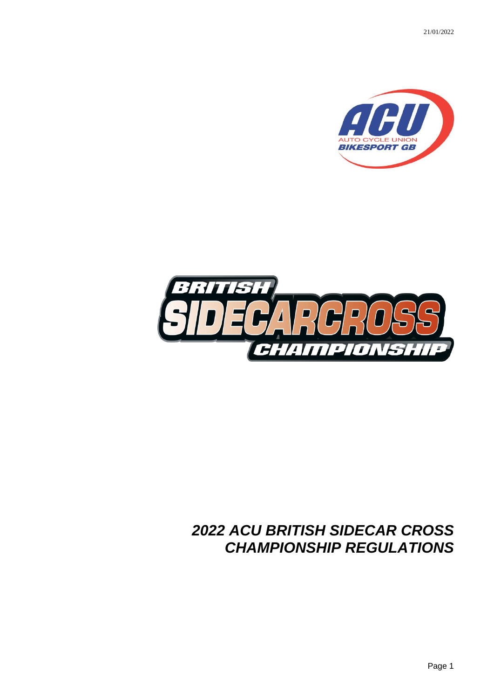21/01/2022





# *2022 ACU BRITISH SIDECAR CROSS CHAMPIONSHIP REGULATIONS*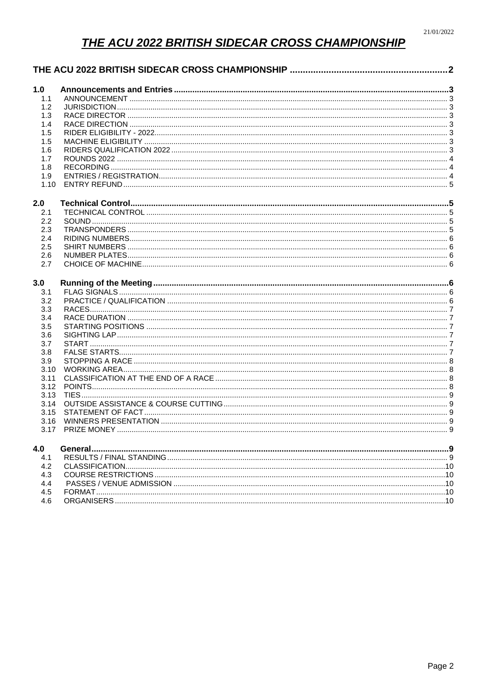# **THE ACU 2022 BRITISH SIDECAR CROSS CHAMPIONSHIP**

<span id="page-1-0"></span>

| 1.0  |  |  |  |
|------|--|--|--|
| 1.1  |  |  |  |
| 1.2  |  |  |  |
| 1.3  |  |  |  |
| 1.4  |  |  |  |
| 1.5  |  |  |  |
| 1.5  |  |  |  |
| 1.6  |  |  |  |
| 1.7  |  |  |  |
| 1.8  |  |  |  |
| 1.9  |  |  |  |
| 1.10 |  |  |  |
| 2.0  |  |  |  |
| 2.1  |  |  |  |
| 2.2  |  |  |  |
| 2.3  |  |  |  |
| 2.4  |  |  |  |
| 2.5  |  |  |  |
| 2.6  |  |  |  |
| 2.7  |  |  |  |
| 3.0  |  |  |  |
| 3.1  |  |  |  |
| 3.2  |  |  |  |
| 3.3  |  |  |  |
| 3.4  |  |  |  |
| 3.5  |  |  |  |
| 3.6  |  |  |  |
| 3.7  |  |  |  |
| 3.8  |  |  |  |
| 3.9  |  |  |  |
| 3.10 |  |  |  |
| 3.11 |  |  |  |
| 3.12 |  |  |  |
| 3.13 |  |  |  |
| 3.14 |  |  |  |
| 3.15 |  |  |  |
| 3.16 |  |  |  |
| 3.17 |  |  |  |
| 4.0  |  |  |  |
| 4.1  |  |  |  |
| 4.2  |  |  |  |
| 4.3  |  |  |  |
| 4.4  |  |  |  |
| 4.5  |  |  |  |
| 4.6  |  |  |  |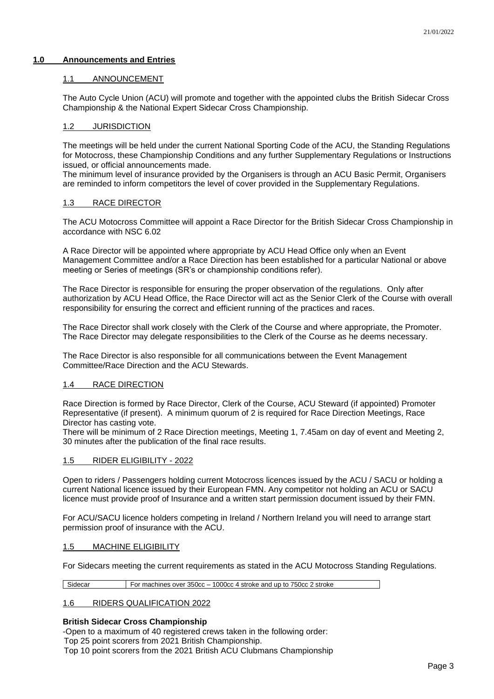# <span id="page-2-1"></span><span id="page-2-0"></span>**1.0 Announcements and Entries**

# 1.1 ANNOUNCEMENT

The Auto Cycle Union (ACU) will promote and together with the appointed clubs the British Sidecar Cross Championship & the National Expert Sidecar Cross Championship.

# <span id="page-2-2"></span>1.2 JURISDICTION

The meetings will be held under the current National Sporting Code of the ACU, the Standing Regulations for Motocross, these Championship Conditions and any further Supplementary Regulations or Instructions issued, or official announcements made.

The minimum level of insurance provided by the Organisers is through an ACU Basic Permit, Organisers are reminded to inform competitors the level of cover provided in the Supplementary Regulations.

# <span id="page-2-3"></span>1.3 RACE DIRECTOR

The ACU Motocross Committee will appoint a Race Director for the British Sidecar Cross Championship in accordance with NSC 6.02

A Race Director will be appointed where appropriate by ACU Head Office only when an Event Management Committee and/or a Race Direction has been established for a particular National or above meeting or Series of meetings (SR's or championship conditions refer).

The Race Director is responsible for ensuring the proper observation of the regulations. Only after authorization by ACU Head Office, the Race Director will act as the Senior Clerk of the Course with overall responsibility for ensuring the correct and efficient running of the practices and races.

The Race Director shall work closely with the Clerk of the Course and where appropriate, the Promoter. The Race Director may delegate responsibilities to the Clerk of the Course as he deems necessary.

The Race Director is also responsible for all communications between the Event Management Committee/Race Direction and the ACU Stewards.

# <span id="page-2-4"></span>1.4 RACE DIRECTION

Race Direction is formed by Race Director, Clerk of the Course, ACU Steward (if appointed) Promoter Representative (if present). A minimum quorum of 2 is required for Race Direction Meetings, Race Director has casting vote.

There will be minimum of 2 Race Direction meetings, Meeting 1, 7.45am on day of event and Meeting 2, 30 minutes after the publication of the final race results.

# <span id="page-2-5"></span>1.5 RIDER ELIGIBILITY - 2022

Open to riders / Passengers holding current Motocross licences issued by the ACU / SACU or holding a current National licence issued by their European FMN. Any competitor not holding an ACU or SACU licence must provide proof of Insurance and a written start permission document issued by their FMN.

For ACU/SACU licence holders competing in Ireland / Northern Ireland you will need to arrange start permission proof of insurance with the ACU.

# <span id="page-2-6"></span>1.5 MACHINE ELIGIBILITY

For Sidecars meeting the current requirements as stated in the ACU Motocross Standing Regulations.

Sidecar For machines over 350cc – 1000cc 4 stroke and up to 750cc 2 stroke

# <span id="page-2-7"></span>1.6 RIDERS QUALIFICATION 2022

# **British Sidecar Cross Championship**

-Open to a maximum of 40 registered crews taken in the following order: Top 25 point scorers from 2021 British Championship.

Top 10 point scorers from the 2021 British ACU Clubmans Championship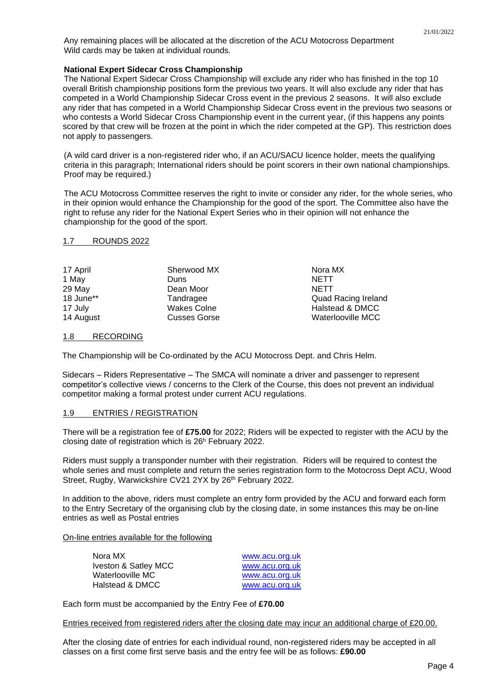Any remaining places will be allocated at the discretion of the ACU Motocross Department Wild cards may be taken at individual rounds.

# **National Expert Sidecar Cross Championship**

The National Expert Sidecar Cross Championship will exclude any rider who has finished in the top 10 overall British championship positions form the previous two years. It will also exclude any rider that has competed in a World Championship Sidecar Cross event in the previous 2 seasons. It will also exclude any rider that has competed in a World Championship Sidecar Cross event in the previous two seasons or who contests a World Sidecar Cross Championship event in the current year, (if this happens any points scored by that crew will be frozen at the point in which the rider competed at the GP). This restriction does not apply to passengers.

(A wild card driver is a non-registered rider who, if an ACU/SACU licence holder, meets the qualifying criteria in this paragraph; International riders should be point scorers in their own national championships. Proof may be required.)

The ACU Motocross Committee reserves the right to invite or consider any rider, for the whole series, who in their opinion would enhance the Championship for the good of the sport. The Committee also have the right to refuse any rider for the National Expert Series who in their opinion will not enhance the championship for the good of the sport.

> Quad Racing Ireland Halstead & DMCC Waterlooville MCC

# <span id="page-3-0"></span>1.7 ROUNDS 2022

| 17 April  | Sherwood MX         | Nora MX     |
|-----------|---------------------|-------------|
| 1 May     | Duns                | <b>NETT</b> |
| 29 May    | Dean Moor           | <b>NETT</b> |
| 18 June** | Tandragee           | Quad Ra     |
| 17 July   | Wakes Colne         | Halstead    |
| 14 August | <b>Cusses Gorse</b> | Waterloo    |

# <span id="page-3-1"></span>1.8 RECORDING

The Championship will be Co-ordinated by the ACU Motocross Dept. and Chris Helm.

Sidecars – Riders Representative – The SMCA will nominate a driver and passenger to represent competitor's collective views / concerns to the Clerk of the Course, this does not prevent an individual competitor making a formal protest under current ACU regulations.

# <span id="page-3-2"></span>1.9 ENTRIES / REGISTRATION

There will be a registration fee of **£75.00** for 2022; Riders will be expected to register with the ACU by the closing date of registration which is 26<sup>h</sup> February 2022.

Riders must supply a transponder number with their registration. Riders will be required to contest the whole series and must complete and return the series registration form to the Motocross Dept ACU, Wood Street, Rugby, Warwickshire CV21 2YX by 26<sup>th</sup> February 2022.

In addition to the above, riders must complete an entry form provided by the ACU and forward each form to the Entry Secretary of the organising club by the closing date, in some instances this may be on-line entries as well as Postal entries

# On-line entries available for the following

| Nora MX              | www.acu.org.uk |
|----------------------|----------------|
| Iveston & Satley MCC | www.acu.org.uk |
| Waterlooville MC     | www.acu.org.uk |
| Halstead & DMCC      | www.acu.org.uk |

Each form must be accompanied by the Entry Fee of **£70.00**

Entries received from registered riders after the closing date may incur an additional charge of £20.00.

After the closing date of entries for each individual round, non-registered riders may be accepted in all classes on a first come first serve basis and the entry fee will be as follows: **£90.00**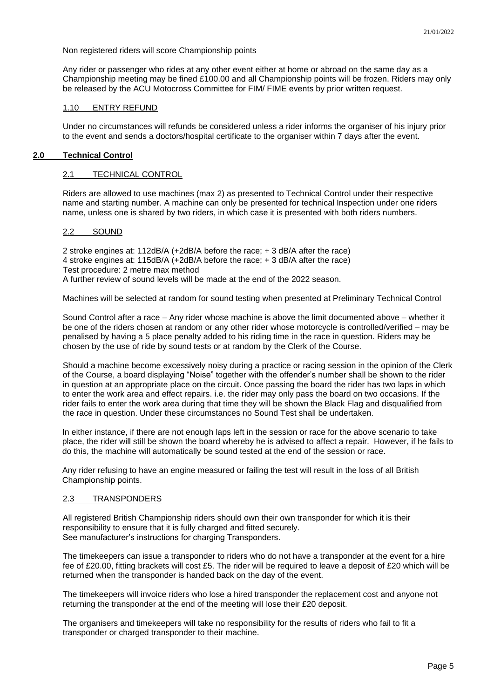Non registered riders will score Championship points

Any rider or passenger who rides at any other event either at home or abroad on the same day as a Championship meeting may be fined £100.00 and all Championship points will be frozen. Riders may only be released by the ACU Motocross Committee for FIM/ FIME events by prior written request.

# <span id="page-4-0"></span>1.10 ENTRY REFUND

Under no circumstances will refunds be considered unless a rider informs the organiser of his injury prior to the event and sends a doctors/hospital certificate to the organiser within 7 days after the event.

### <span id="page-4-2"></span><span id="page-4-1"></span>**2.0 Technical Control**

#### 2.1 TECHNICAL CONTROL

Riders are allowed to use machines (max 2) as presented to Technical Control under their respective name and starting number. A machine can only be presented for technical Inspection under one riders name, unless one is shared by two riders, in which case it is presented with both riders numbers.

# <span id="page-4-3"></span>2.2 SOUND

2 stroke engines at: 112dB/A (+2dB/A before the race; + 3 dB/A after the race) 4 stroke engines at: 115dB/A (+2dB/A before the race; + 3 dB/A after the race) Test procedure: 2 metre max method A further review of sound levels will be made at the end of the 2022 season.

Machines will be selected at random for sound testing when presented at Preliminary Technical Control

Sound Control after a race – Any rider whose machine is above the limit documented above – whether it be one of the riders chosen at random or any other rider whose motorcycle is controlled/verified – may be penalised by having a 5 place penalty added to his riding time in the race in question. Riders may be chosen by the use of ride by sound tests or at random by the Clerk of the Course.

Should a machine become excessively noisy during a practice or racing session in the opinion of the Clerk of the Course, a board displaying "Noise" together with the offender's number shall be shown to the rider in question at an appropriate place on the circuit. Once passing the board the rider has two laps in which to enter the work area and effect repairs. i.e. the rider may only pass the board on two occasions. If the rider fails to enter the work area during that time they will be shown the Black Flag and disqualified from the race in question. Under these circumstances no Sound Test shall be undertaken.

In either instance, if there are not enough laps left in the session or race for the above scenario to take place, the rider will still be shown the board whereby he is advised to affect a repair. However, if he fails to do this, the machine will automatically be sound tested at the end of the session or race.

Any rider refusing to have an engine measured or failing the test will result in the loss of all British Championship points.

#### <span id="page-4-4"></span>2.3 TRANSPONDERS

All registered British Championship riders should own their own transponder for which it is their responsibility to ensure that it is fully charged and fitted securely. See manufacturer's instructions for charging Transponders.

The timekeepers can issue a transponder to riders who do not have a transponder at the event for a hire fee of £20.00, fitting brackets will cost £5. The rider will be required to leave a deposit of £20 which will be returned when the transponder is handed back on the day of the event.

The timekeepers will invoice riders who lose a hired transponder the replacement cost and anyone not returning the transponder at the end of the meeting will lose their £20 deposit.

The organisers and timekeepers will take no responsibility for the results of riders who fail to fit a transponder or charged transponder to their machine.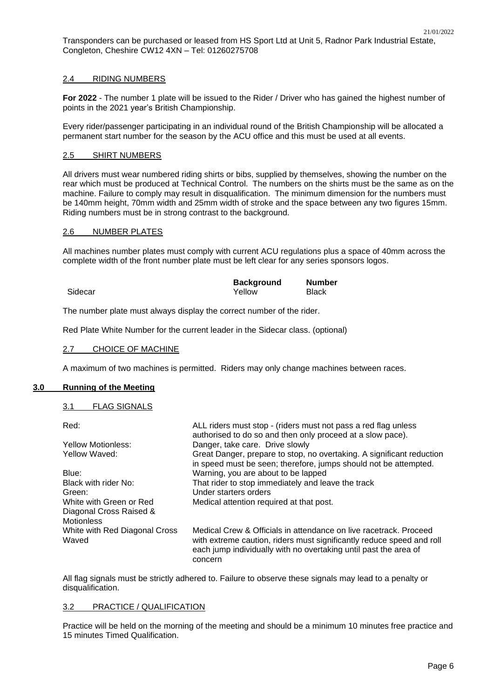Transponders can be purchased or leased from HS Sport Ltd at Unit 5, Radnor Park Industrial Estate, Congleton, Cheshire CW12 4XN – Tel: 01260275708

# <span id="page-5-0"></span>2.4 RIDING NUMBERS

**For 2022** - The number 1 plate will be issued to the Rider / Driver who has gained the highest number of points in the 2021 year's British Championship.

Every rider/passenger participating in an individual round of the British Championship will be allocated a permanent start number for the season by the ACU office and this must be used at all events.

#### <span id="page-5-1"></span>2.5 SHIRT NUMBERS

All drivers must wear numbered riding shirts or bibs, supplied by themselves, showing the number on the rear which must be produced at Technical Control. The numbers on the shirts must be the same as on the machine. Failure to comply may result in disqualification. The minimum dimension for the numbers must be 140mm height, 70mm width and 25mm width of stroke and the space between any two figures 15mm. Riding numbers must be in strong contrast to the background.

# <span id="page-5-2"></span>2.6 NUMBER PLATES

All machines number plates must comply with current ACU regulations plus a space of 40mm across the complete width of the front number plate must be left clear for any series sponsors logos.

|         | <b>Background</b> | <b>Number</b> |
|---------|-------------------|---------------|
| Sidecar | Yellow            | <b>Black</b>  |

The number plate must always display the correct number of the rider.

Red Plate White Number for the current leader in the Sidecar class. (optional)

#### <span id="page-5-3"></span>2.7 CHOICE OF MACHINE

A maximum of two machines is permitted. Riders may only change machines between races.

# <span id="page-5-5"></span><span id="page-5-4"></span>**3.0 Running of the Meeting**

#### 3.1 FLAG SIGNALS

| Red:                                                                    | ALL riders must stop - (riders must not pass a red flag unless<br>authorised to do so and then only proceed at a slow pace).                                                                                              |
|-------------------------------------------------------------------------|---------------------------------------------------------------------------------------------------------------------------------------------------------------------------------------------------------------------------|
| Yellow Motionless:                                                      | Danger, take care. Drive slowly                                                                                                                                                                                           |
| Yellow Waved:                                                           | Great Danger, prepare to stop, no overtaking. A significant reduction<br>in speed must be seen; therefore, jumps should not be attempted.                                                                                 |
| Blue:                                                                   | Warning, you are about to be lapped                                                                                                                                                                                       |
| Black with rider No:                                                    | That rider to stop immediately and leave the track                                                                                                                                                                        |
| Green:                                                                  | Under starters orders                                                                                                                                                                                                     |
| White with Green or Red<br>Diagonal Cross Raised &<br><b>Motionless</b> | Medical attention required at that post.                                                                                                                                                                                  |
| White with Red Diagonal Cross<br>Waved                                  | Medical Crew & Officials in attendance on live racetrack. Proceed<br>with extreme caution, riders must significantly reduce speed and roll<br>each jump individually with no overtaking until past the area of<br>concern |

All flag signals must be strictly adhered to. Failure to observe these signals may lead to a penalty or disqualification.

#### <span id="page-5-6"></span>3.2 PRACTICE / QUALIFICATION

Practice will be held on the morning of the meeting and should be a minimum 10 minutes free practice and 15 minutes Timed Qualification.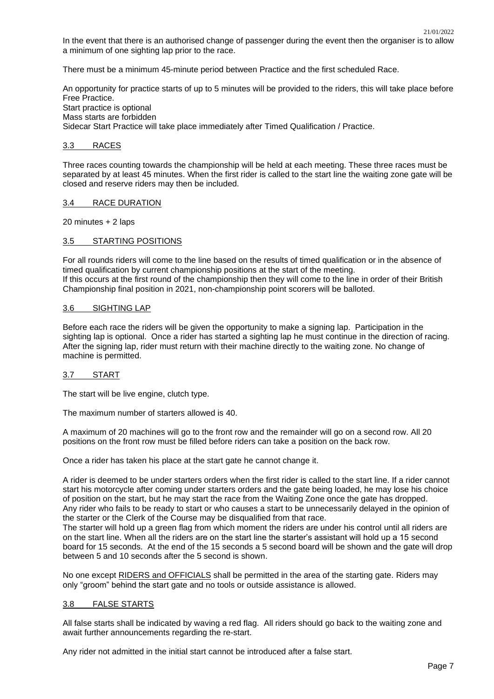In the event that there is an authorised change of passenger during the event then the organiser is to allow a minimum of one sighting lap prior to the race.

There must be a minimum 45-minute period between Practice and the first scheduled Race.

An opportunity for practice starts of up to 5 minutes will be provided to the riders, this will take place before Free Practice. Start practice is optional Mass starts are forbidden Sidecar Start Practice will take place immediately after Timed Qualification / Practice.

### <span id="page-6-0"></span>3.3 RACES

Three races counting towards the championship will be held at each meeting. These three races must be separated by at least 45 minutes. When the first rider is called to the start line the waiting zone gate will be closed and reserve riders may then be included.

#### <span id="page-6-1"></span>3.4 RACE DURATION

20 minutes + 2 laps

# <span id="page-6-2"></span>3.5 STARTING POSITIONS

For all rounds riders will come to the line based on the results of timed qualification or in the absence of timed qualification by current championship positions at the start of the meeting. If this occurs at the first round of the championship then they will come to the line in order of their British Championship final position in 2021, non-championship point scorers will be balloted.

# <span id="page-6-3"></span>3.6 SIGHTING LAP

Before each race the riders will be given the opportunity to make a signing lap. Participation in the sighting lap is optional. Once a rider has started a sighting lap he must continue in the direction of racing. After the signing lap, rider must return with their machine directly to the waiting zone. No change of machine is permitted.

# <span id="page-6-4"></span>3.7 START

The start will be live engine, clutch type.

The maximum number of starters allowed is 40.

A maximum of 20 machines will go to the front row and the remainder will go on a second row. All 20 positions on the front row must be filled before riders can take a position on the back row.

Once a rider has taken his place at the start gate he cannot change it.

A rider is deemed to be under starters orders when the first rider is called to the start line. If a rider cannot start his motorcycle after coming under starters orders and the gate being loaded, he may lose his choice of position on the start, but he may start the race from the Waiting Zone once the gate has dropped. Any rider who fails to be ready to start or who causes a start to be unnecessarily delayed in the opinion of the starter or the Clerk of the Course may be disqualified from that race.

The starter will hold up a green flag from which moment the riders are under his control until all riders are on the start line. When all the riders are on the start line the starter's assistant will hold up a 15 second board for 15 seconds. At the end of the 15 seconds a 5 second board will be shown and the gate will drop between 5 and 10 seconds after the 5 second is shown.

No one except RIDERS and OFFICIALS shall be permitted in the area of the starting gate. Riders may only "groom" behind the start gate and no tools or outside assistance is allowed.

# <span id="page-6-5"></span>3.8 FALSE STARTS

All false starts shall be indicated by waving a red flag. All riders should go back to the waiting zone and await further announcements regarding the re-start.

Any rider not admitted in the initial start cannot be introduced after a false start.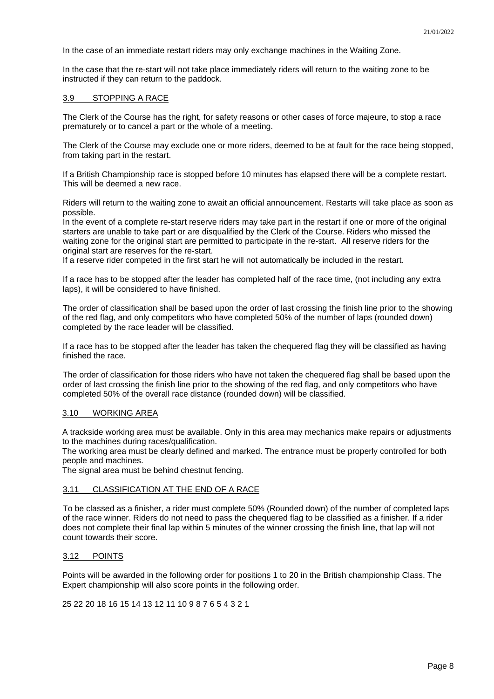In the case of an immediate restart riders may only exchange machines in the Waiting Zone.

In the case that the re-start will not take place immediately riders will return to the waiting zone to be instructed if they can return to the paddock.

## <span id="page-7-0"></span>3.9 STOPPING A RACE

The Clerk of the Course has the right, for safety reasons or other cases of force majeure, to stop a race prematurely or to cancel a part or the whole of a meeting.

The Clerk of the Course may exclude one or more riders, deemed to be at fault for the race being stopped, from taking part in the restart.

If a British Championship race is stopped before 10 minutes has elapsed there will be a complete restart. This will be deemed a new race.

Riders will return to the waiting zone to await an official announcement. Restarts will take place as soon as possible.

In the event of a complete re-start reserve riders may take part in the restart if one or more of the original starters are unable to take part or are disqualified by the Clerk of the Course. Riders who missed the waiting zone for the original start are permitted to participate in the re-start. All reserve riders for the original start are reserves for the re-start.

If a reserve rider competed in the first start he will not automatically be included in the restart.

If a race has to be stopped after the leader has completed half of the race time, (not including any extra laps), it will be considered to have finished.

The order of classification shall be based upon the order of last crossing the finish line prior to the showing of the red flag, and only competitors who have completed 50% of the number of laps (rounded down) completed by the race leader will be classified.

If a race has to be stopped after the leader has taken the chequered flag they will be classified as having finished the race.

The order of classification for those riders who have not taken the chequered flag shall be based upon the order of last crossing the finish line prior to the showing of the red flag, and only competitors who have completed 50% of the overall race distance (rounded down) will be classified.

#### <span id="page-7-1"></span>3.10 WORKING AREA

A trackside working area must be available. Only in this area may mechanics make repairs or adjustments to the machines during races/qualification.

The working area must be clearly defined and marked. The entrance must be properly controlled for both people and machines.

The signal area must be behind chestnut fencing.

# <span id="page-7-2"></span>3.11 CLASSIFICATION AT THE END OF A RACE

To be classed as a finisher, a rider must complete 50% (Rounded down) of the number of completed laps of the race winner. Riders do not need to pass the chequered flag to be classified as a finisher. If a rider does not complete their final lap within 5 minutes of the winner crossing the finish line, that lap will not count towards their score.

#### <span id="page-7-3"></span>3.12 POINTS

Points will be awarded in the following order for positions 1 to 20 in the British championship Class. The Expert championship will also score points in the following order.

25 22 20 18 16 15 14 13 12 11 10 9 8 7 6 5 4 3 2 1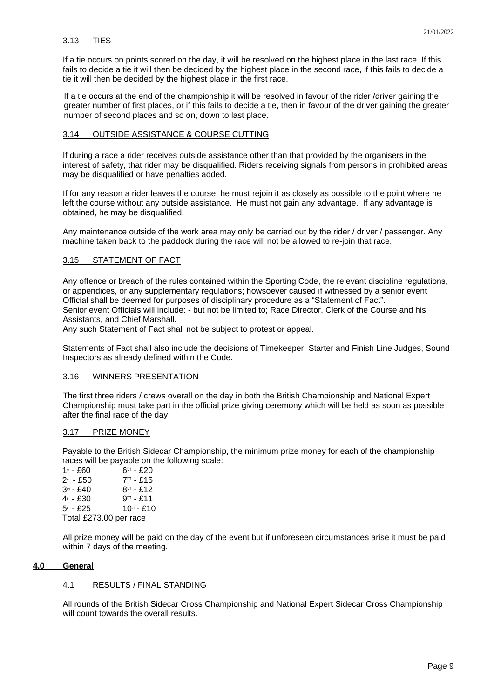<span id="page-8-0"></span>If a tie occurs on points scored on the day, it will be resolved on the highest place in the last race. If this fails to decide a tie it will then be decided by the highest place in the second race, if this fails to decide a tie it will then be decided by the highest place in the first race.

If a tie occurs at the end of the championship it will be resolved in favour of the rider /driver gaining the greater number of first places, or if this fails to decide a tie, then in favour of the driver gaining the greater number of second places and so on, down to last place.

# <span id="page-8-1"></span>3.14 OUTSIDE ASSISTANCE & COURSE CUTTING

If during a race a rider receives outside assistance other than that provided by the organisers in the interest of safety, that rider may be disqualified. Riders receiving signals from persons in prohibited areas may be disqualified or have penalties added.

If for any reason a rider leaves the course, he must rejoin it as closely as possible to the point where he left the course without any outside assistance. He must not gain any advantage. If any advantage is obtained, he may be disqualified.

Any maintenance outside of the work area may only be carried out by the rider / driver / passenger. Any machine taken back to the paddock during the race will not be allowed to re-join that race.

# <span id="page-8-2"></span>3.15 STATEMENT OF FACT

Any offence or breach of the rules contained within the Sporting Code, the relevant discipline regulations, or appendices, or any supplementary regulations; howsoever caused if witnessed by a senior event Official shall be deemed for purposes of disciplinary procedure as a "Statement of Fact". Senior event Officials will include: - but not be limited to; Race Director, Clerk of the Course and his Assistants, and Chief Marshall.

Any such Statement of Fact shall not be subject to protest or appeal.

Statements of Fact shall also include the decisions of Timekeeper, Starter and Finish Line Judges, Sound Inspectors as already defined within the Code.

# <span id="page-8-3"></span>3.16 WINNERS PRESENTATION

The first three riders / crews overall on the day in both the British Championship and National Expert Championship must take part in the official prize giving ceremony which will be held as soon as possible after the final race of the day.

# <span id="page-8-4"></span>3.17 PRIZE MONEY

Payable to the British Sidecar Championship, the minimum prize money for each of the championship races will be payable on the following scale:

 $1$ st - £60  $6<sup>th</sup> - £20$  $2<sup>nd</sup> - £50$  $7<sup>th</sup> - £15$  $3^{rd}$  - £40  $8^{th}$  - £12  $4<sup>th</sup> - £30$  $9<sup>th</sup> - £11$  $5<sup>th</sup>$  - £25 10<sup>th</sup> - £10 Total £273.00 per race

All prize money will be paid on the day of the event but if unforeseen circumstances arise it must be paid within 7 days of the meeting.

# <span id="page-8-6"></span><span id="page-8-5"></span>**4.0 General**

# 4.1 RESULTS / FINAL STANDING

All rounds of the British Sidecar Cross Championship and National Expert Sidecar Cross Championship will count towards the overall results.